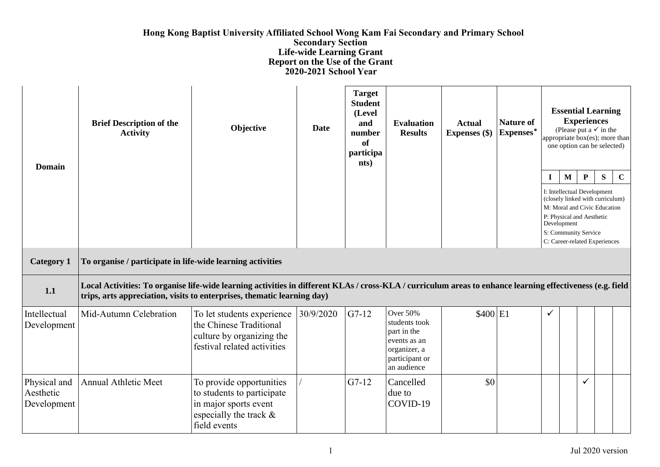## **Hong Kong Baptist University Affiliated School Wong Kam Fai Secondary and Primary School Secondary Section Life-wide Learning Grant Report on the Use of the Grant 2020-2021 School Year**

| <b>Domain</b>                            | <b>Brief Description of the</b><br><b>Activity</b>                                                                                                                                                                                    | Objective                                                                                                                 | Date      | <b>Target</b><br><b>Student</b><br>(Level<br>and<br>number<br>of<br>participa<br>nts) | <b>Evaluation</b><br><b>Results</b>                                                                       | <b>Actual</b><br><b>Expenses</b> (\$) | <b>Nature of</b><br>Expenses* | $\bf{I}$     | $\mathbf M$ | <b>Essential Learning</b><br><b>Experiences</b><br>(Please put a $\checkmark$ in the<br>appropriate box(es); more than<br>one option can be selected)<br>${\bf P}$<br>I: Intellectual Development<br>(closely linked with curriculum)<br>M: Moral and Civic Education<br>P: Physical and Aesthetic | ${\bf S}$ | $\mathbf C$ |
|------------------------------------------|---------------------------------------------------------------------------------------------------------------------------------------------------------------------------------------------------------------------------------------|---------------------------------------------------------------------------------------------------------------------------|-----------|---------------------------------------------------------------------------------------|-----------------------------------------------------------------------------------------------------------|---------------------------------------|-------------------------------|--------------|-------------|----------------------------------------------------------------------------------------------------------------------------------------------------------------------------------------------------------------------------------------------------------------------------------------------------|-----------|-------------|
|                                          |                                                                                                                                                                                                                                       |                                                                                                                           |           |                                                                                       |                                                                                                           |                                       |                               |              | Development | S: Community Service<br>C: Career-related Experiences                                                                                                                                                                                                                                              |           |             |
| <b>Category 1</b>                        | To organise / participate in life-wide learning activities                                                                                                                                                                            |                                                                                                                           |           |                                                                                       |                                                                                                           |                                       |                               |              |             |                                                                                                                                                                                                                                                                                                    |           |             |
| 1.1                                      | Local Activities: To organise life-wide learning activities in different KLAs / cross-KLA / curriculum areas to enhance learning effectiveness (e.g. field<br>trips, arts appreciation, visits to enterprises, thematic learning day) |                                                                                                                           |           |                                                                                       |                                                                                                           |                                       |                               |              |             |                                                                                                                                                                                                                                                                                                    |           |             |
| Intellectual<br>Development              | Mid-Autumn Celebration                                                                                                                                                                                                                | To let students experience<br>the Chinese Traditional<br>culture by organizing the<br>festival related activities         | 30/9/2020 | $G7-12$                                                                               | Over 50%<br>students took<br>part in the<br>events as an<br>organizer, a<br>participant or<br>an audience | \$400 E1                              |                               | $\checkmark$ |             |                                                                                                                                                                                                                                                                                                    |           |             |
| Physical and<br>Aesthetic<br>Development | <b>Annual Athletic Meet</b>                                                                                                                                                                                                           | To provide opportunities<br>to students to participate<br>in major sports event<br>especially the track &<br>field events |           | $G7-12$                                                                               | Cancelled<br>due to<br>COVID-19                                                                           | \$0                                   |                               |              |             | $\checkmark$                                                                                                                                                                                                                                                                                       |           |             |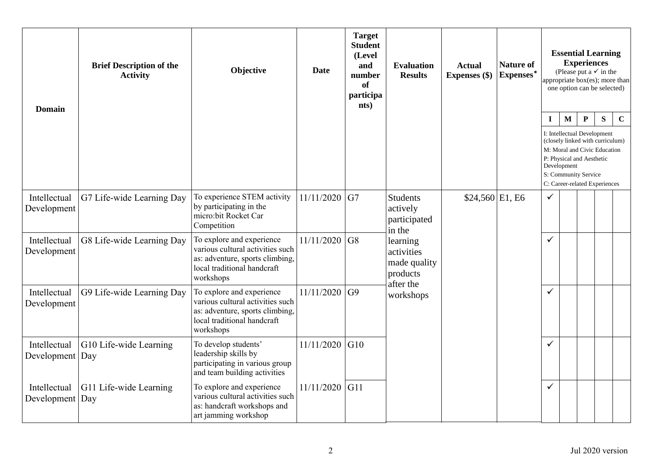| <b>Domain</b>               | <b>Brief Description of the</b><br><b>Activity</b> | Objective                                                                                                                                    | <b>Date</b> | <b>Target</b><br><b>Student</b><br>(Level<br>and<br>number<br><b>of</b><br>participa<br>nts) | <b>Evaluation</b><br><b>Results</b>                             | <b>Actual</b><br>Expenses (\$) | <b>Nature of</b><br>Expenses* |              |                             | <b>Essential Learning</b><br><b>Experiences</b><br>(Please put a $\checkmark$ in the<br>appropriate box(es); more than<br>one option can be selected)                                                |   |             |
|-----------------------------|----------------------------------------------------|----------------------------------------------------------------------------------------------------------------------------------------------|-------------|----------------------------------------------------------------------------------------------|-----------------------------------------------------------------|--------------------------------|-------------------------------|--------------|-----------------------------|------------------------------------------------------------------------------------------------------------------------------------------------------------------------------------------------------|---|-------------|
|                             |                                                    |                                                                                                                                              |             |                                                                                              |                                                                 |                                |                               | $\bf{I}$     | $\mathbf{M}$<br>Development | $\mathbf P$<br>I: Intellectual Development<br>(closely linked with curriculum)<br>M: Moral and Civic Education<br>P: Physical and Aesthetic<br>S: Community Service<br>C: Career-related Experiences | S | $\mathbf C$ |
| Intellectual<br>Development | G7 Life-wide Learning Day                          | To experience STEM activity<br>by participating in the<br>micro:bit Rocket Car<br>Competition                                                | 11/11/2020  | G7                                                                                           | <b>Students</b><br>actively<br>participated<br>in the           | $$24,560$ E1, E6               |                               | $\checkmark$ |                             |                                                                                                                                                                                                      |   |             |
| Intellectual<br>Development | G8 Life-wide Learning Day                          | To explore and experience<br>various cultural activities such<br>as: adventure, sports climbing,<br>local traditional handcraft<br>workshops | 11/11/2020  | G8                                                                                           | learning<br>activities<br>made quality<br>products<br>after the |                                |                               | $\checkmark$ |                             |                                                                                                                                                                                                      |   |             |
| Intellectual<br>Development | G9 Life-wide Learning Day                          | To explore and experience<br>various cultural activities such<br>as: adventure, sports climbing,<br>local traditional handcraft<br>workshops | 11/11/2020  | G <sub>9</sub>                                                                               | workshops                                                       |                                |                               | $\checkmark$ |                             |                                                                                                                                                                                                      |   |             |
| Intellectual<br>Development | G10 Life-wide Learning<br>Day                      | To develop students'<br>leadership skills by<br>participating in various group<br>and team building activities                               | 11/11/2020  | G10                                                                                          |                                                                 |                                |                               | $\checkmark$ |                             |                                                                                                                                                                                                      |   |             |
| Intellectual<br>Development | G11 Life-wide Learning<br>Day                      | To explore and experience<br>various cultural activities such<br>as: handcraft workshops and<br>art jamming workshop                         | 11/11/2020  | G11                                                                                          |                                                                 |                                |                               | $\checkmark$ |                             |                                                                                                                                                                                                      |   |             |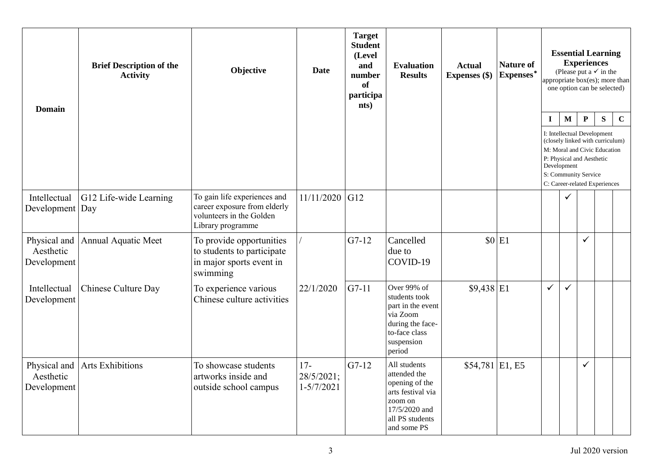| <b>Domain</b>                            | <b>Brief Description of the</b><br><b>Activity</b> | Objective                                                                                                     | <b>Date</b>                           | <b>Target</b><br><b>Student</b><br>(Level<br>and<br>number<br>of<br>participa<br>nts) | <b>Evaluation</b><br><b>Results</b>                                                                                               | <b>Actual</b><br>Expenses (\$) | <b>Nature of</b><br>Expenses* |             |                                                                                                 | <b>Experiences</b> | <b>Essential Learning</b><br>(Please put a $\checkmark$ in the<br>appropriate $box(es)$ ; more than<br>one option can be selected) |             |
|------------------------------------------|----------------------------------------------------|---------------------------------------------------------------------------------------------------------------|---------------------------------------|---------------------------------------------------------------------------------------|-----------------------------------------------------------------------------------------------------------------------------------|--------------------------------|-------------------------------|-------------|-------------------------------------------------------------------------------------------------|--------------------|------------------------------------------------------------------------------------------------------------------------------------|-------------|
|                                          |                                                    |                                                                                                               |                                       |                                                                                       |                                                                                                                                   |                                |                               | $\mathbf I$ | $\mathbf{M}$                                                                                    | $\mathbf P$        | S                                                                                                                                  | $\mathbf C$ |
|                                          |                                                    |                                                                                                               |                                       |                                                                                       |                                                                                                                                   |                                |                               |             | I: Intellectual Development<br>P: Physical and Aesthetic<br>Development<br>S: Community Service |                    | (closely linked with curriculum)<br>M: Moral and Civic Education<br>C: Career-related Experiences                                  |             |
| Intellectual<br>Development              | G12 Life-wide Learning<br>Day                      | To gain life experiences and<br>career exposure from elderly<br>volunteers in the Golden<br>Library programme | 11/11/2020                            | G12                                                                                   |                                                                                                                                   |                                |                               |             |                                                                                                 |                    |                                                                                                                                    |             |
| Physical and<br>Aesthetic<br>Development | Annual Aquatic Meet                                | To provide opportunities<br>to students to participate<br>in major sports event in<br>swimming                |                                       | $G7-12$                                                                               | Cancelled<br>due to<br>COVID-19                                                                                                   |                                | $$0$ E1                       |             |                                                                                                 | $\checkmark$       |                                                                                                                                    |             |
| Intellectual<br>Development              | Chinese Culture Day                                | To experience various<br>Chinese culture activities                                                           | 22/1/2020                             | $G7-11$                                                                               | Over 99% of<br>students took<br>part in the event<br>via Zoom<br>during the face-<br>to-face class<br>suspension<br>period        | $$9,438$ E1                    |                               | ✓           | $\checkmark$                                                                                    |                    |                                                                                                                                    |             |
| Physical and<br>Aesthetic<br>Development | <b>Arts Exhibitions</b>                            | To showcase students<br>artworks inside and<br>outside school campus                                          | $17-$<br>28/5/2021;<br>$1 - 5/7/2021$ | $G7-12$                                                                               | All students<br>attended the<br>opening of the<br>arts festival via<br>zoom on<br>17/5/2020 and<br>all PS students<br>and some PS | $$54,781$ E1, E5               |                               |             |                                                                                                 | $\checkmark$       |                                                                                                                                    |             |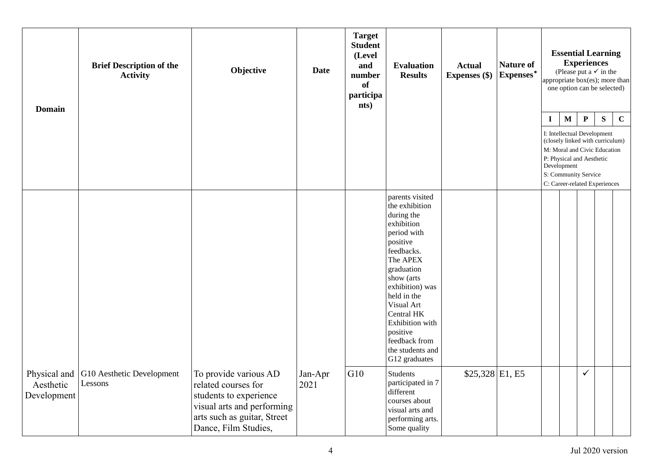| <b>Domain</b>                            | <b>Brief Description of the</b><br><b>Activity</b> | Objective                                                                                                                                                   | <b>Date</b>     | <b>Target</b><br><b>Student</b><br>(Level<br>and<br>number<br>of<br>participa<br>nts) | <b>Evaluation</b><br><b>Results</b>                                                                                                                                                                                                                                                               | <b>Actual</b><br><b>Expenses</b> (\$) | <b>Nature of</b><br>Expenses* |             |             | <b>Experiences</b>                                | <b>Essential Learning</b><br>(Please put a $\checkmark$ in the<br>appropriate box(es); more than<br>one option can be selected) |             |
|------------------------------------------|----------------------------------------------------|-------------------------------------------------------------------------------------------------------------------------------------------------------------|-----------------|---------------------------------------------------------------------------------------|---------------------------------------------------------------------------------------------------------------------------------------------------------------------------------------------------------------------------------------------------------------------------------------------------|---------------------------------------|-------------------------------|-------------|-------------|---------------------------------------------------|---------------------------------------------------------------------------------------------------------------------------------|-------------|
|                                          |                                                    |                                                                                                                                                             |                 |                                                                                       |                                                                                                                                                                                                                                                                                                   |                                       |                               | $\mathbf I$ | $\mathbf M$ | $\mathbf P$<br>I: Intellectual Development        | ${\bf S}$<br>(closely linked with curriculum)                                                                                   | $\mathbf C$ |
|                                          |                                                    |                                                                                                                                                             |                 |                                                                                       |                                                                                                                                                                                                                                                                                                   |                                       |                               |             | Development | P: Physical and Aesthetic<br>S: Community Service | M: Moral and Civic Education<br>C: Career-related Experiences                                                                   |             |
|                                          |                                                    |                                                                                                                                                             |                 |                                                                                       | parents visited<br>the exhibition<br>during the<br>exhibition<br>period with<br>positive<br>feedbacks.<br>The APEX<br>graduation<br>show (arts<br>exhibition) was<br>held in the<br>Visual Art<br>Central HK<br>Exhibition with<br>positive<br>feedback from<br>the students and<br>G12 graduates |                                       |                               |             |             |                                                   |                                                                                                                                 |             |
| Physical and<br>Aesthetic<br>Development | G10 Aesthetic Development<br>Lessons               | To provide various AD<br>related courses for<br>students to experience<br>visual arts and performing<br>arts such as guitar, Street<br>Dance, Film Studies, | Jan-Apr<br>2021 | G10                                                                                   | <b>Students</b><br>participated in 7<br>different<br>courses about<br>visual arts and<br>performing arts.<br>Some quality                                                                                                                                                                         | $$25,328$ E1, E5                      |                               |             |             | $\checkmark$                                      |                                                                                                                                 |             |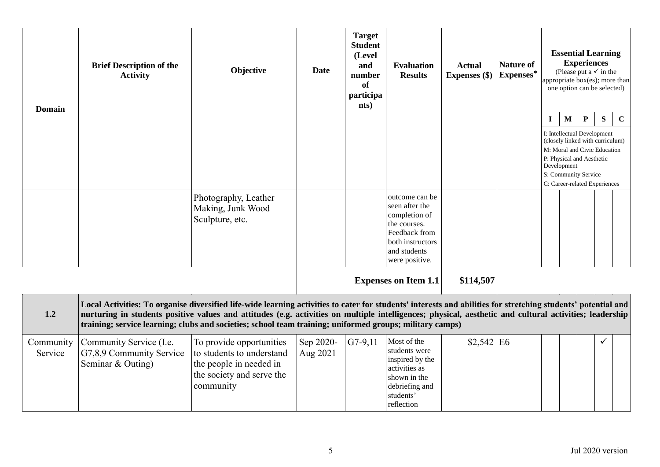| <b>Domain</b>        | <b>Brief Description of the</b><br><b>Activity</b>                                                                                                                                                                                                                                                                                                                                                                                   | Objective                                                                                                                  | <b>Date</b>           | <b>Target</b><br><b>Student</b><br>(Level<br>and<br>number<br>of<br>participa<br>nts) | <b>Evaluation</b><br><b>Results</b>                                                                                                      | <b>Actual</b><br><b>Expenses</b> (\$) | <b>Nature of</b><br>$\mbox{Express}^*$ |                                                                                                                                                                  | <b>Essential Learning</b><br>(Please put a $\checkmark$ in the<br>appropriate $\overline{box(es)}$ ; more than<br>one option can be selected) | <b>Experiences</b> |   |             |
|----------------------|--------------------------------------------------------------------------------------------------------------------------------------------------------------------------------------------------------------------------------------------------------------------------------------------------------------------------------------------------------------------------------------------------------------------------------------|----------------------------------------------------------------------------------------------------------------------------|-----------------------|---------------------------------------------------------------------------------------|------------------------------------------------------------------------------------------------------------------------------------------|---------------------------------------|----------------------------------------|------------------------------------------------------------------------------------------------------------------------------------------------------------------|-----------------------------------------------------------------------------------------------------------------------------------------------|--------------------|---|-------------|
|                      |                                                                                                                                                                                                                                                                                                                                                                                                                                      |                                                                                                                            |                       |                                                                                       |                                                                                                                                          |                                       |                                        | $\bf{I}$                                                                                                                                                         | $\mathbf{M}$                                                                                                                                  | $\mathbf P$        | S | $\mathbf C$ |
|                      |                                                                                                                                                                                                                                                                                                                                                                                                                                      |                                                                                                                            |                       |                                                                                       |                                                                                                                                          |                                       |                                        | I: Intellectual Development<br>M: Moral and Civic Education<br>P: Physical and Aesthetic<br>Development<br>S: Community Service<br>C: Career-related Experiences | (closely linked with curriculum)                                                                                                              |                    |   |             |
|                      |                                                                                                                                                                                                                                                                                                                                                                                                                                      | Photography, Leather<br>Making, Junk Wood<br>Sculpture, etc.                                                               |                       |                                                                                       | outcome can be<br>seen after the<br>completion of<br>the courses.<br>Feedback from<br>both instructors<br>and students<br>were positive. |                                       |                                        |                                                                                                                                                                  |                                                                                                                                               |                    |   |             |
|                      |                                                                                                                                                                                                                                                                                                                                                                                                                                      |                                                                                                                            |                       |                                                                                       | <b>Expenses on Item 1.1</b>                                                                                                              | \$114,507                             |                                        |                                                                                                                                                                  |                                                                                                                                               |                    |   |             |
| 1.2                  | Local Activities: To organise diversified life-wide learning activities to cater for students' interests and abilities for stretching students' potential and<br>nurturing in students positive values and attitudes (e.g. activities on multiple intelligences; physical, aesthetic and cultural activities; leadership<br>training; service learning; clubs and societies; school team training; uniformed groups; military camps) |                                                                                                                            |                       |                                                                                       |                                                                                                                                          |                                       |                                        |                                                                                                                                                                  |                                                                                                                                               |                    |   |             |
| Community<br>Service | Community Service (I.e.<br>G7,8,9 Community Service<br>Seminar & Outing)                                                                                                                                                                                                                                                                                                                                                             | To provide opportunities<br>to students to understand<br>the people in needed in<br>the society and serve the<br>community | Sep 2020-<br>Aug 2021 | $G7-9,11$                                                                             | Most of the<br>students were<br>inspired by the<br>activities as<br>shown in the<br>debriefing and<br>students'<br>reflection            | \$2,542                               | E <sub>6</sub>                         |                                                                                                                                                                  |                                                                                                                                               |                    | ✓ |             |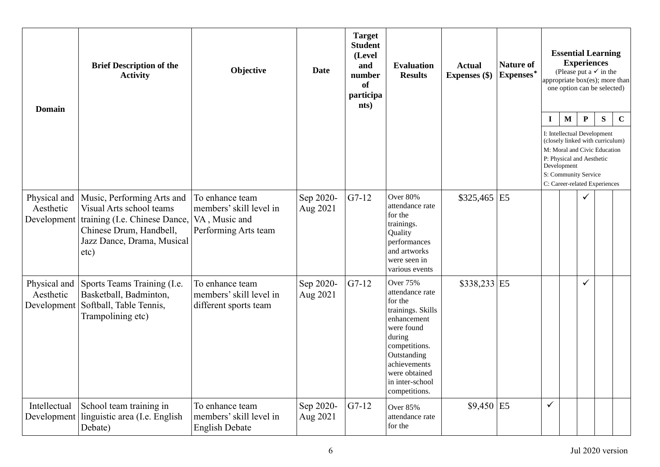| <b>Domain</b>                            | <b>Brief Description of the</b><br><b>Activity</b>                                                                                                       | Objective                                                                           | <b>Date</b>           | <b>Target</b><br><b>Student</b><br>(Level<br>and<br>number<br>of<br>participa<br>nts) | <b>Evaluation</b><br><b>Results</b>                                                                                                                                                                            | <b>Actual</b><br>Expenses (\$) | <b>Nature of</b><br>Expenses* |              |                                                                                                                 | <b>Experiences</b> | <b>Essential Learning</b><br>(Please put a $\checkmark$ in the<br>appropriate box(es); more than<br>one option can be selected) |             |
|------------------------------------------|----------------------------------------------------------------------------------------------------------------------------------------------------------|-------------------------------------------------------------------------------------|-----------------------|---------------------------------------------------------------------------------------|----------------------------------------------------------------------------------------------------------------------------------------------------------------------------------------------------------------|--------------------------------|-------------------------------|--------------|-----------------------------------------------------------------------------------------------------------------|--------------------|---------------------------------------------------------------------------------------------------------------------------------|-------------|
|                                          |                                                                                                                                                          |                                                                                     |                       |                                                                                       |                                                                                                                                                                                                                |                                |                               | $\mathbf I$  | $\mathbf{M}$<br>I: Intellectual Development<br>P: Physical and Aesthetic<br>Development<br>S: Community Service | ${\bf P}$          | S<br>(closely linked with curriculum)<br>M: Moral and Civic Education<br>C: Career-related Experiences                          | $\mathbf C$ |
| Physical and<br>Aesthetic<br>Development | Music, Performing Arts and<br>Visual Arts school teams<br>training (I.e. Chinese Dance,<br>Chinese Drum, Handbell,<br>Jazz Dance, Drama, Musical<br>etc) | To enhance team<br>members' skill level in<br>VA, Music and<br>Performing Arts team | Sep 2020-<br>Aug 2021 | $G7-12$                                                                               | Over 80%<br>attendance rate<br>for the<br>trainings.<br>Quality<br>performances<br>and artworks<br>were seen in<br>various events                                                                              | \$325,465                      | E <sub>5</sub>                |              |                                                                                                                 |                    |                                                                                                                                 |             |
| Physical and<br>Aesthetic<br>Development | Sports Teams Training (I.e.<br>Basketball, Badminton,<br>Softball, Table Tennis,<br>Trampolining etc)                                                    | To enhance team<br>members' skill level in<br>different sports team                 | Sep 2020-<br>Aug 2021 | $G7-12$                                                                               | <b>Over 75%</b><br>attendance rate<br>for the<br>trainings. Skills<br>enhancement<br>were found<br>during<br>competitions.<br>Outstanding<br>achievements<br>were obtained<br>in inter-school<br>competitions. | $$338,233$ E5                  |                               |              |                                                                                                                 | ✓                  |                                                                                                                                 |             |
| Intellectual<br>Development              | School team training in<br>linguistic area (I.e. English<br>Debate)                                                                                      | To enhance team<br>members' skill level in<br><b>English Debate</b>                 | Sep 2020-<br>Aug 2021 | $G7-12$                                                                               | Over 85%<br>attendance rate<br>for the                                                                                                                                                                         | $$9,450$ E5                    |                               | $\checkmark$ |                                                                                                                 |                    |                                                                                                                                 |             |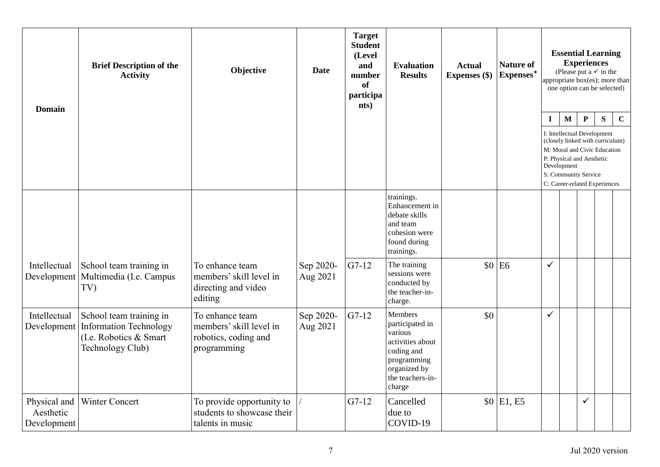| <b>Domain</b>                            | <b>Brief Description of the</b><br><b>Activity</b>                                                      | Objective                                                                         | <b>Date</b>           | <b>Target</b><br><b>Student</b><br>(Level<br>and<br>number<br>of<br>participa<br>nts) | <b>Evaluation</b><br><b>Results</b>                                                                                                  | <b>Actual</b><br>Expenses (\$) | <b>Nature of</b><br>Expenses* | appropriate box(es); more than                                                                                                                                                                                      |              | <b>Experiences</b> | <b>Essential Learning</b><br>(Please put a $\checkmark$ in the<br>one option can be selected) |             |
|------------------------------------------|---------------------------------------------------------------------------------------------------------|-----------------------------------------------------------------------------------|-----------------------|---------------------------------------------------------------------------------------|--------------------------------------------------------------------------------------------------------------------------------------|--------------------------------|-------------------------------|---------------------------------------------------------------------------------------------------------------------------------------------------------------------------------------------------------------------|--------------|--------------------|-----------------------------------------------------------------------------------------------|-------------|
|                                          |                                                                                                         |                                                                                   |                       |                                                                                       |                                                                                                                                      |                                |                               | $\mathbf I$<br>I: Intellectual Development<br>(closely linked with curriculum)<br>M: Moral and Civic Education<br>P: Physical and Aesthetic<br>Development<br>S: Community Service<br>C: Career-related Experiences | $\mathbf{M}$ | ${\bf P}$          | S                                                                                             | $\mathbf C$ |
|                                          |                                                                                                         |                                                                                   |                       |                                                                                       | trainings.<br>Enhancement in<br>debate skills<br>and team<br>cohesion were<br>found during<br>trainings.                             |                                |                               |                                                                                                                                                                                                                     |              |                    |                                                                                               |             |
| Intellectual<br>Development              | School team training in<br>Multimedia (I.e. Campus<br>TV)                                               | To enhance team<br>members' skill level in<br>directing and video<br>editing      | Sep 2020-<br>Aug 2021 | $G7-12$                                                                               | The training<br>sessions were<br>conducted by<br>the teacher-in-<br>charge.                                                          |                                | $$0$ E6                       | $\checkmark$                                                                                                                                                                                                        |              |                    |                                                                                               |             |
| Intellectual<br>Development              | School team training in<br><b>Information Technology</b><br>(I.e. Robotics & Smart)<br>Technology Club) | To enhance team<br>members' skill level in<br>robotics, coding and<br>programming | Sep 2020-<br>Aug 2021 | $G7-12$                                                                               | Members<br>participated in<br>various<br>activities about<br>coding and<br>programming<br>organized by<br>the teachers-in-<br>charge | \$0                            |                               | $\checkmark$                                                                                                                                                                                                        |              |                    |                                                                                               |             |
| Physical and<br>Aesthetic<br>Development | <b>Winter Concert</b>                                                                                   | To provide opportunity to<br>students to showcase their<br>talents in music       |                       | $G7-12$                                                                               | Cancelled<br>due to<br>COVID-19                                                                                                      |                                | $$0 \vert E1, E5$             |                                                                                                                                                                                                                     |              | ✓                  |                                                                                               |             |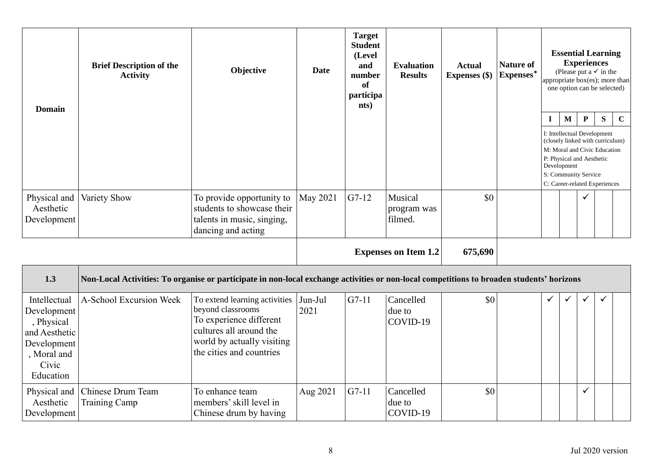| <b>Domain</b>                                                                                                  | <b>Brief Description of the</b><br><b>Activity</b>                                                                                        | Objective                                                                                                                                                          | <b>Date</b>     | <b>Target</b><br><b>Student</b><br>(Level<br>and<br>number<br>of<br>participa<br>nts) | <b>Evaluation</b><br><b>Results</b> | <b>Actual</b><br><b>Expenses</b> (\$) | <b>Nature of</b><br>$\mbox{Express}^*$ |             |                            | <b>Essential Learning</b><br><b>Experiences</b><br>(Please put a $\checkmark$ in the<br>appropriate box(es); more than<br>one option can be selected)                                              |   |             |
|----------------------------------------------------------------------------------------------------------------|-------------------------------------------------------------------------------------------------------------------------------------------|--------------------------------------------------------------------------------------------------------------------------------------------------------------------|-----------------|---------------------------------------------------------------------------------------|-------------------------------------|---------------------------------------|----------------------------------------|-------------|----------------------------|----------------------------------------------------------------------------------------------------------------------------------------------------------------------------------------------------|---|-------------|
|                                                                                                                |                                                                                                                                           |                                                                                                                                                                    |                 |                                                                                       |                                     |                                       |                                        | $\mathbf I$ | $\mathbf M$<br>Development | ${\bf P}$<br>I: Intellectual Development<br>(closely linked with curriculum)<br>M: Moral and Civic Education<br>P: Physical and Aesthetic<br>S: Community Service<br>C: Career-related Experiences | S | $\mathbf C$ |
| Physical and<br>Aesthetic<br>Development                                                                       | Variety Show                                                                                                                              | To provide opportunity to<br>students to showcase their<br>talents in music, singing,<br>dancing and acting                                                        | May 2021        | $G7-12$                                                                               | Musical<br>program was<br>filmed.   | \$0                                   |                                        |             |                            | ✓                                                                                                                                                                                                  |   |             |
|                                                                                                                |                                                                                                                                           |                                                                                                                                                                    |                 |                                                                                       | <b>Expenses on Item 1.2</b>         | 675,690                               |                                        |             |                            |                                                                                                                                                                                                    |   |             |
| 1.3                                                                                                            | Non-Local Activities: To organise or participate in non-local exchange activities or non-local competitions to broaden students' horizons |                                                                                                                                                                    |                 |                                                                                       |                                     |                                       |                                        |             |                            |                                                                                                                                                                                                    |   |             |
| Intellectual<br>Development<br>, Physical<br>and Aesthetic<br>Development<br>, Moral and<br>Civic<br>Education | A-School Excursion Week                                                                                                                   | To extend learning activities<br>beyond classrooms<br>To experience different<br>cultures all around the<br>world by actually visiting<br>the cities and countries | Jun-Jul<br>2021 | $G7-11$                                                                               | Cancelled<br>due to<br>COVID-19     | \$0                                   |                                        | ✓           | $\checkmark$               | ✓                                                                                                                                                                                                  | ✓ |             |
| Physical and<br>Aesthetic<br>Development                                                                       | Chinese Drum Team<br>Training Camp                                                                                                        | To enhance team<br>members' skill level in<br>Chinese drum by having                                                                                               | Aug 2021        | $G7-11$                                                                               | Cancelled<br>due to<br>COVID-19     | \$0                                   |                                        |             |                            | ✓                                                                                                                                                                                                  |   |             |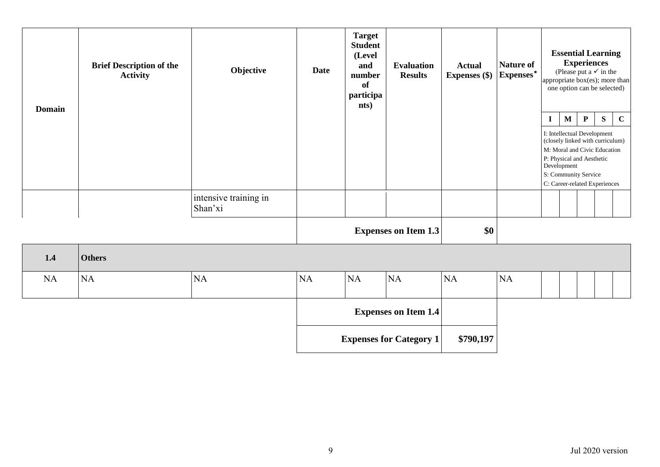| <b>Domain</b> | <b>Brief Description of the</b><br><b>Activity</b> | Objective                        | <b>Date</b> | <b>Target</b><br><b>Student</b><br>(Level<br>and<br>number<br>of<br>participa<br>nts) | <b>Evaluation</b><br><b>Results</b> | <b>Actual</b><br><b>Expenses</b> (\$) | <b>Nature of</b><br>Expenses* | appropriate box(es); more than<br>one option can be selected)                                                                                                                                        | <b>Experiences</b> |             | <b>Essential Learning</b><br>(Please put a $\checkmark$ in the |             |
|---------------|----------------------------------------------------|----------------------------------|-------------|---------------------------------------------------------------------------------------|-------------------------------------|---------------------------------------|-------------------------------|------------------------------------------------------------------------------------------------------------------------------------------------------------------------------------------------------|--------------------|-------------|----------------------------------------------------------------|-------------|
|               |                                                    |                                  |             |                                                                                       |                                     |                                       |                               | $\mathbf{I}$                                                                                                                                                                                         | $\mathbf M$        | $\mathbf P$ | ${\bf S}$                                                      | $\mathbf C$ |
|               |                                                    |                                  |             |                                                                                       |                                     |                                       |                               | I: Intellectual Development<br>(closely linked with curriculum)<br>M: Moral and Civic Education<br>P: Physical and Aesthetic<br>Development<br>S: Community Service<br>C: Career-related Experiences |                    |             |                                                                |             |
|               |                                                    | intensive training in<br>Shan'xi |             |                                                                                       |                                     |                                       |                               |                                                                                                                                                                                                      |                    |             |                                                                |             |
|               |                                                    |                                  |             |                                                                                       | <b>Expenses on Item 1.3</b>         | \$0                                   |                               |                                                                                                                                                                                                      |                    |             |                                                                |             |
| 1.4           | <b>Others</b>                                      |                                  |             |                                                                                       |                                     |                                       |                               |                                                                                                                                                                                                      |                    |             |                                                                |             |
| <b>NA</b>     | <b>NA</b>                                          | NA                               | NA          | NA                                                                                    | NA                                  | <b>NA</b>                             | NA                            |                                                                                                                                                                                                      |                    |             |                                                                |             |
|               |                                                    |                                  |             |                                                                                       | <b>Expenses on Item 1.4</b>         |                                       |                               |                                                                                                                                                                                                      |                    |             |                                                                |             |
|               |                                                    |                                  |             |                                                                                       | <b>Expenses for Category 1</b>      | \$790,197                             |                               |                                                                                                                                                                                                      |                    |             |                                                                |             |